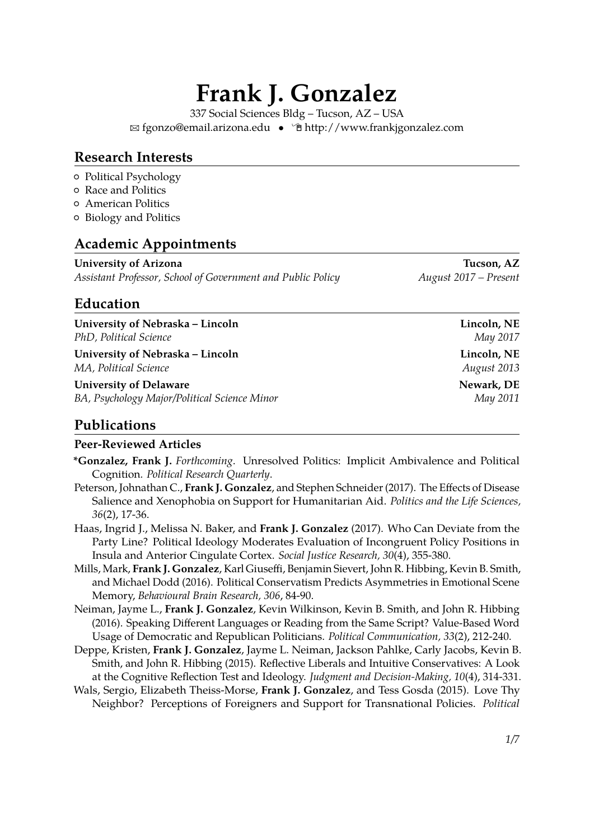# **Frank J. Gonzalez**

337 Social Sciences Bldg – Tucson, AZ – USA <sup>B</sup> [fgonzo@email.arizona.edu](mailto:fgonzo@email.arizona.edu) • Í [http://www.frankjgonzalez.com](http://http://www.frankjgonzalez.com)

#### **Research Interests**

- { Political Psychology
- { Race and Politics
- { American Politics
- { Biology and Politics

#### **Academic Appointments**

**University of Arizona Tucson, AZ** *Assistant Professor, School of Government and Public Policy August 2017 – Present*

#### **Education**

**University of Nebraska – Lincoln Lincoln, NE** *PhD, Political Science* May 2017

**University of Nebraska – Lincoln Lincoln, NE** *MA, Political Science August 2013*

**University of Delaware Newark, DE** *BA, Psychology Major/Political Science Minor* May 2011

#### **Publications**

#### **Peer-Reviewed Articles**

- **\*Gonzalez, Frank J.** *Forthcoming*. Unresolved Politics: Implicit Ambivalence and Political Cognition. *Political Research Quarterly*.
- Peterson, Johnathan C., **Frank J. Gonzalez**, and Stephen Schneider (2017). The Effects of Disease Salience and Xenophobia on Support for Humanitarian Aid. *Politics and the Life Sciences, 36*(2), 17-36.
- Haas, Ingrid J., Melissa N. Baker, and **Frank J. Gonzalez** (2017). Who Can Deviate from the Party Line? Political Ideology Moderates Evaluation of Incongruent Policy Positions in Insula and Anterior Cingulate Cortex. *Social Justice Research, 30*(4), 355-380.
- Mills, Mark, **Frank J. Gonzalez**, Karl Giuseffi, Benjamin Sievert, John R. Hibbing, Kevin B. Smith, and Michael Dodd (2016). Political Conservatism Predicts Asymmetries in Emotional Scene Memory, *Behavioural Brain Research, 306*, 84-90.
- Neiman, Jayme L., **Frank J. Gonzalez**, Kevin Wilkinson, Kevin B. Smith, and John R. Hibbing (2016). Speaking Different Languages or Reading from the Same Script? Value-Based Word Usage of Democratic and Republican Politicians. *Political Communication, 33*(2), 212-240.
- Deppe, Kristen, **Frank J. Gonzalez**, Jayme L. Neiman, Jackson Pahlke, Carly Jacobs, Kevin B. Smith, and John R. Hibbing (2015). Reflective Liberals and Intuitive Conservatives: A Look at the Cognitive Reflection Test and Ideology. *Judgment and Decision-Making, 10*(4), 314-331.
- Wals, Sergio, Elizabeth Theiss-Morse, **Frank J. Gonzalez**, and Tess Gosda (2015). Love Thy Neighbor? Perceptions of Foreigners and Support for Transnational Policies. *Political*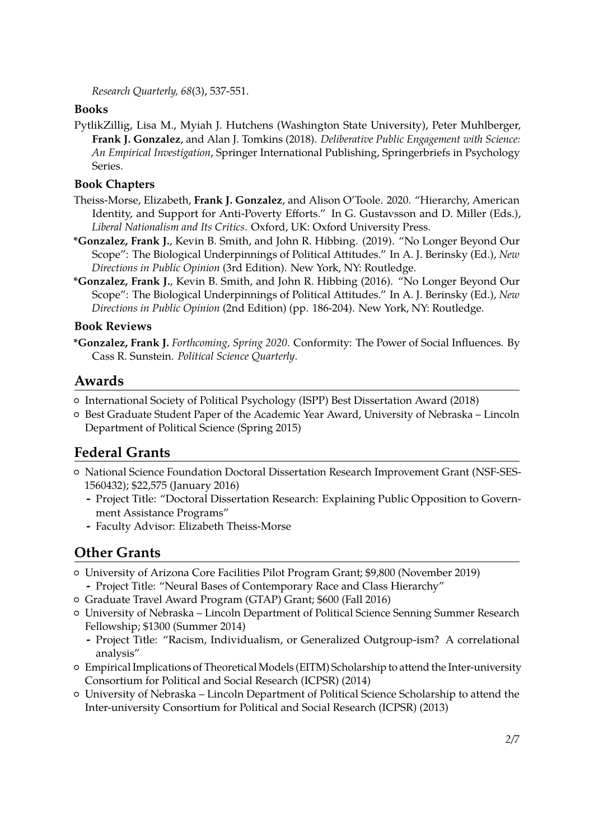*Research Quarterly, 68*(3), 537-551.

#### **Books**

PytlikZillig, Lisa M., Myiah J. Hutchens (Washington State University), Peter Muhlberger, **Frank J. Gonzalez**, and Alan J. Tomkins (2018). *Deliberative Public Engagement with Science: An Empirical Investigation*, Springer International Publishing, Springerbriefs in Psychology Series.

#### **Book Chapters**

- Theiss-Morse, Elizabeth, **Frank J. Gonzalez**, and Alison O'Toole. 2020. "Hierarchy, American Identity, and Support for Anti-Poverty Efforts." In G. Gustavsson and D. Miller (Eds.), *Liberal Nationalism and Its Critics*. Oxford, UK: Oxford University Press.
- **\*Gonzalez, Frank J.**, Kevin B. Smith, and John R. Hibbing. (2019). "No Longer Beyond Our Scope": The Biological Underpinnings of Political Attitudes." In A. J. Berinsky (Ed.), *New Directions in Public Opinion* (3rd Edition). New York, NY: Routledge.
- **\*Gonzalez, Frank J.**, Kevin B. Smith, and John R. Hibbing (2016). "No Longer Beyond Our Scope": The Biological Underpinnings of Political Attitudes." In A. J. Berinsky (Ed.), *New Directions in Public Opinion* (2nd Edition) (pp. 186-204). New York, NY: Routledge.

#### **Book Reviews**

**\*Gonzalez, Frank J.** *Forthcoming, Spring 2020*. Conformity: The Power of Social Influences. By Cass R. Sunstein. *Political Science Quarterly*.

#### **Awards**

- { International Society of Political Psychology (ISPP) Best Dissertation Award (2018)
- { Best Graduate Student Paper of the Academic Year Award, University of Nebraska Lincoln Department of Political Science (Spring 2015)

## **Federal Grants**

- { National Science Foundation Doctoral Dissertation Research Improvement Grant (NSF-SES-1560432); \$22,575 (January 2016)
	- **-** Project Title: "Doctoral Dissertation Research: Explaining Public Opposition to Government Assistance Programs"
	- **-** Faculty Advisor: Elizabeth Theiss-Morse

## **Other Grants**

- { University of Arizona Core Facilities Pilot Program Grant; \$9,800 (November 2019)
- **-** Project Title: "Neural Bases of Contemporary Race and Class Hierarchy"
- { Graduate Travel Award Program (GTAP) Grant; \$600 (Fall 2016)
- { University of Nebraska Lincoln Department of Political Science Senning Summer Research Fellowship; \$1300 (Summer 2014)
	- **-** Project Title: "Racism, Individualism, or Generalized Outgroup-ism? A correlational analysis"
- { Empirical Implications of Theoretical Models (EITM) Scholarship to attend the Inter-university Consortium for Political and Social Research (ICPSR) (2014)
- { University of Nebraska Lincoln Department of Political Science Scholarship to attend the Inter-university Consortium for Political and Social Research (ICPSR) (2013)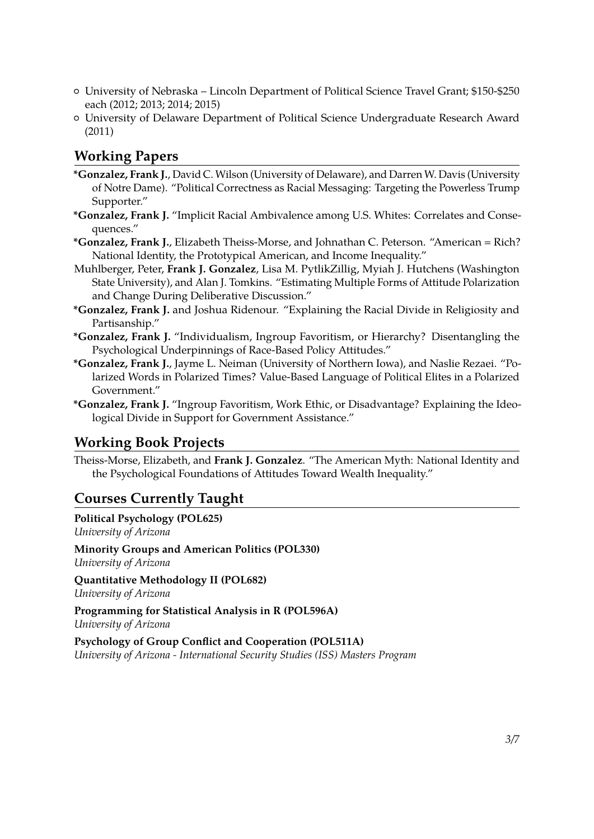- { University of Nebraska Lincoln Department of Political Science Travel Grant; \$150-\$250 each (2012; 2013; 2014; 2015)
- { University of Delaware Department of Political Science Undergraduate Research Award (2011)

#### **Working Papers**

- **\*Gonzalez, Frank J.**, David C. Wilson (University of Delaware), and Darren W. Davis (University of Notre Dame). "Political Correctness as Racial Messaging: Targeting the Powerless Trump Supporter."
- **\*Gonzalez, Frank J.** "Implicit Racial Ambivalence among U.S. Whites: Correlates and Consequences."
- **\*Gonzalez, Frank J.**, Elizabeth Theiss-Morse, and Johnathan C. Peterson. "American = Rich? National Identity, the Prototypical American, and Income Inequality."
- Muhlberger, Peter, **Frank J. Gonzalez**, Lisa M. PytlikZillig, Myiah J. Hutchens (Washington State University), and Alan J. Tomkins. "Estimating Multiple Forms of Attitude Polarization and Change During Deliberative Discussion."
- **\*Gonzalez, Frank J.** and Joshua Ridenour. "Explaining the Racial Divide in Religiosity and Partisanship."
- **\*Gonzalez, Frank J.** "Individualism, Ingroup Favoritism, or Hierarchy? Disentangling the Psychological Underpinnings of Race-Based Policy Attitudes."
- **\*Gonzalez, Frank J.**, Jayme L. Neiman (University of Northern Iowa), and Naslie Rezaei. "Polarized Words in Polarized Times? Value-Based Language of Political Elites in a Polarized Government."
- **\*Gonzalez, Frank J.** "Ingroup Favoritism, Work Ethic, or Disadvantage? Explaining the Ideological Divide in Support for Government Assistance."

#### **Working Book Projects**

Theiss-Morse, Elizabeth, and **Frank J. Gonzalez**. "The American Myth: National Identity and the Psychological Foundations of Attitudes Toward Wealth Inequality."

## **Courses Currently Taught**

**Political Psychology (POL625)** *University of Arizona*

**Minority Groups and American Politics (POL330)** *University of Arizona*

**Quantitative Methodology II (POL682)** *University of Arizona*

**Programming for Statistical Analysis in R (POL596A)** *University of Arizona*

**Psychology of Group Conflict and Cooperation (POL511A)**

*University of Arizona - International Security Studies (ISS) Masters Program*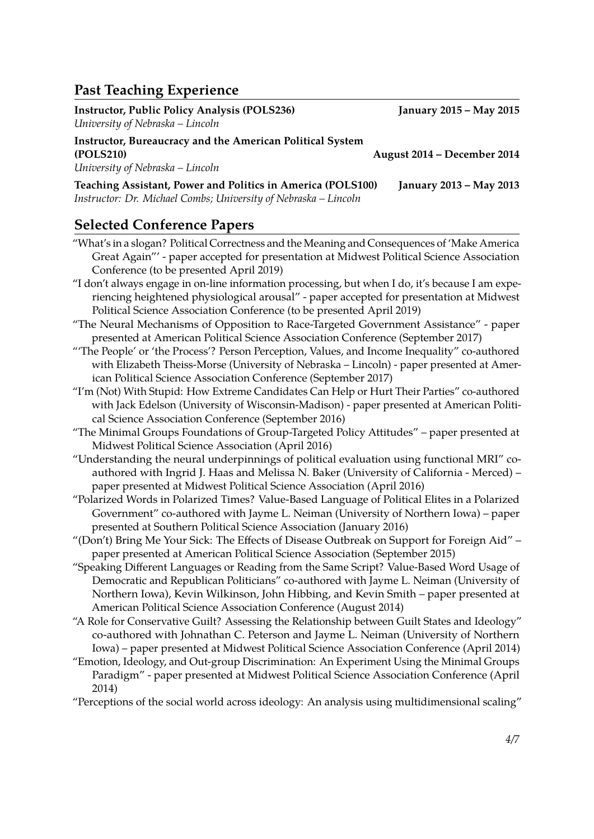## **Past Teaching Experience**

| <b>Instructor, Public Policy Analysis (POLS236)</b>              | <b>January 2015 - May 2015</b>                           |
|------------------------------------------------------------------|----------------------------------------------------------|
| University of Nebraska - Lincoln                                 |                                                          |
| <b>Instructor, Bureaucracy and the American Political System</b> |                                                          |
| (POLS210)                                                        | August 2014 – December 2014                              |
| University of Nebraska – Lincoln                                 |                                                          |
| Togething Assistant Dower and Dolities in America (DOI S100)     | $I_{2112}$ $I_{313}$ $I_{12}$ $I_{21}$ $I_{31}$ $I_{12}$ |

**Teaching Assistant, Power and Politics in America (POLS100) January 2013 – May 2013** *Instructor: Dr. Michael Combs; University of Nebraska – Lincoln*

#### **Selected Conference Papers**

- "What's in a slogan? Political Correctness and the Meaning and Consequences of 'Make America Great Again"' - paper accepted for presentation at Midwest Political Science Association Conference (to be presented April 2019)
- "I don't always engage in on-line information processing, but when I do, it's because I am experiencing heightened physiological arousal" - paper accepted for presentation at Midwest Political Science Association Conference (to be presented April 2019)
- "The Neural Mechanisms of Opposition to Race-Targeted Government Assistance" paper presented at American Political Science Association Conference (September 2017)
- "'The People' or 'the Process'? Person Perception, Values, and Income Inequality" co-authored with Elizabeth Theiss-Morse (University of Nebraska – Lincoln) - paper presented at American Political Science Association Conference (September 2017)
- "I'm (Not) With Stupid: How Extreme Candidates Can Help or Hurt Their Parties" co-authored with Jack Edelson (University of Wisconsin-Madison) - paper presented at American Political Science Association Conference (September 2016)
- "The Minimal Groups Foundations of Group-Targeted Policy Attitudes" paper presented at Midwest Political Science Association (April 2016)
- "Understanding the neural underpinnings of political evaluation using functional MRI" coauthored with Ingrid J. Haas and Melissa N. Baker (University of California - Merced) – paper presented at Midwest Political Science Association (April 2016)
- "Polarized Words in Polarized Times? Value-Based Language of Political Elites in a Polarized Government" co-authored with Jayme L. Neiman (University of Northern Iowa) – paper presented at Southern Political Science Association (January 2016)
- "(Don't) Bring Me Your Sick: The Effects of Disease Outbreak on Support for Foreign Aid" paper presented at American Political Science Association (September 2015)
- "Speaking Different Languages or Reading from the Same Script? Value-Based Word Usage of Democratic and Republican Politicians" co-authored with Jayme L. Neiman (University of Northern Iowa), Kevin Wilkinson, John Hibbing, and Kevin Smith – paper presented at American Political Science Association Conference (August 2014)
- "A Role for Conservative Guilt? Assessing the Relationship between Guilt States and Ideology" co-authored with Johnathan C. Peterson and Jayme L. Neiman (University of Northern Iowa) – paper presented at Midwest Political Science Association Conference (April 2014)
- "Emotion, Ideology, and Out-group Discrimination: An Experiment Using the Minimal Groups Paradigm" - paper presented at Midwest Political Science Association Conference (April 2014)
- "Perceptions of the social world across ideology: An analysis using multidimensional scaling"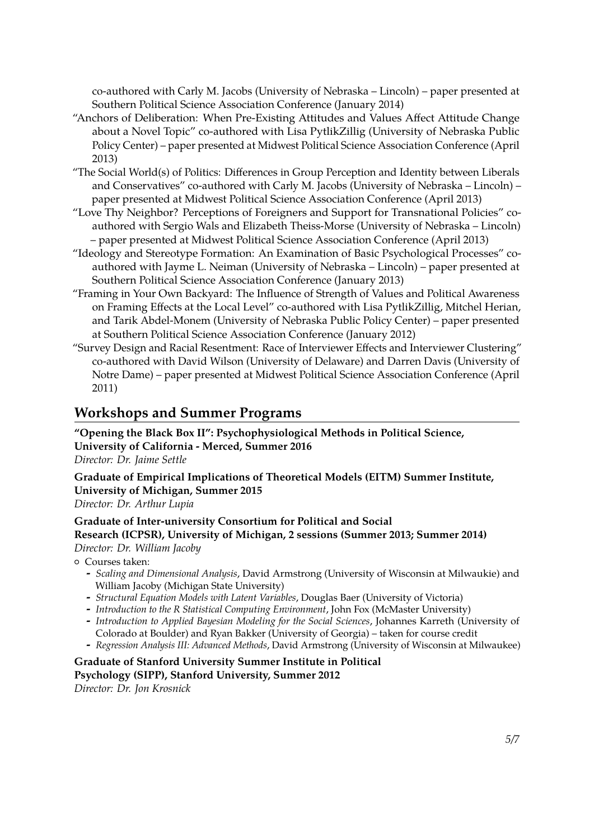co-authored with Carly M. Jacobs (University of Nebraska – Lincoln) – paper presented at Southern Political Science Association Conference (January 2014)

- "Anchors of Deliberation: When Pre-Existing Attitudes and Values Affect Attitude Change about a Novel Topic" co-authored with Lisa PytlikZillig (University of Nebraska Public Policy Center) – paper presented at Midwest Political Science Association Conference (April 2013)
- "The Social World(s) of Politics: Differences in Group Perception and Identity between Liberals and Conservatives" co-authored with Carly M. Jacobs (University of Nebraska – Lincoln) – paper presented at Midwest Political Science Association Conference (April 2013)
- "Love Thy Neighbor? Perceptions of Foreigners and Support for Transnational Policies" coauthored with Sergio Wals and Elizabeth Theiss-Morse (University of Nebraska – Lincoln) – paper presented at Midwest Political Science Association Conference (April 2013)
- "Ideology and Stereotype Formation: An Examination of Basic Psychological Processes" coauthored with Jayme L. Neiman (University of Nebraska – Lincoln) – paper presented at Southern Political Science Association Conference (January 2013)
- "Framing in Your Own Backyard: The Influence of Strength of Values and Political Awareness on Framing Effects at the Local Level" co-authored with Lisa PytlikZillig, Mitchel Herian, and Tarik Abdel-Monem (University of Nebraska Public Policy Center) – paper presented at Southern Political Science Association Conference (January 2012)
- "Survey Design and Racial Resentment: Race of Interviewer Effects and Interviewer Clustering" co-authored with David Wilson (University of Delaware) and Darren Davis (University of Notre Dame) – paper presented at Midwest Political Science Association Conference (April 2011)

#### **Workshops and Summer Programs**

**"Opening the Black Box II": Psychophysiological Methods in Political Science, University of California - Merced, Summer 2016** *Director: Dr. Jaime Settle*

**Graduate of Empirical Implications of Theoretical Models (EITM) Summer Institute, University of Michigan, Summer 2015**

*Director: Dr. Arthur Lupia*

#### **Graduate of Inter-university Consortium for Political and Social**

#### **Research (ICPSR), University of Michigan, 2 sessions (Summer 2013; Summer 2014)** *Director: Dr. William Jacoby*

- { Courses taken:
	- **-** *Scaling and Dimensional Analysis*, David Armstrong (University of Wisconsin at Milwaukie) and William Jacoby (Michigan State University)
	- **-** *Structural Equation Models with Latent Variables*, Douglas Baer (University of Victoria)
	- **-** *Introduction to the R Statistical Computing Environment*, John Fox (McMaster University)
	- **-** *Introduction to Applied Bayesian Modeling for the Social Sciences*, Johannes Karreth (University of Colorado at Boulder) and Ryan Bakker (University of Georgia) – taken for course credit
	- **-** *Regression Analysis III: Advanced Methods*, David Armstrong (University of Wisconsin at Milwaukee)

#### **Graduate of Stanford University Summer Institute in Political**

**Psychology (SIPP), Stanford University, Summer 2012**

*Director: Dr. Jon Krosnick*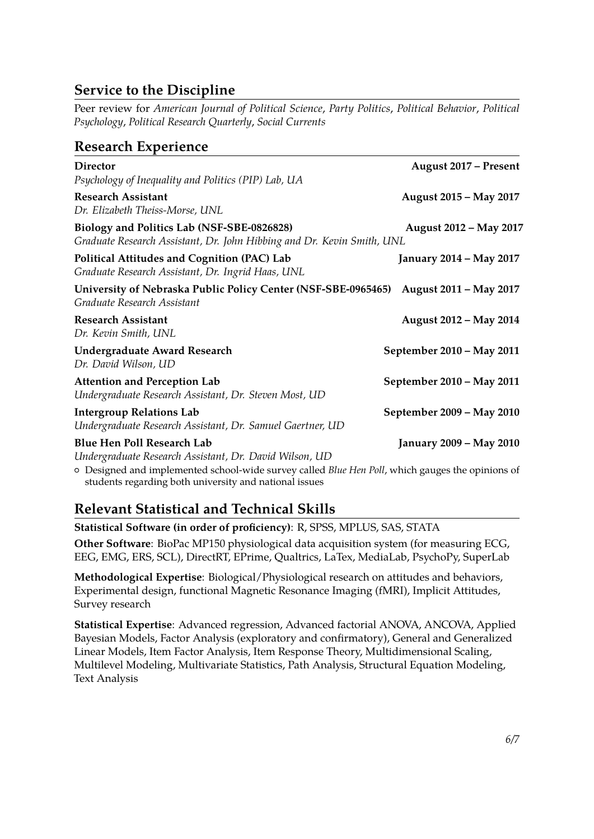## **Service to the Discipline**

Peer review for *American Journal of Political Science*, *Party Politics*, *Political Behavior*, *Political Psychology*, *Political Research Quarterly*, *Social Currents*

## **Research Experience**

| Director<br>Psychology of Inequality and Politics (PIP) Lab, UA                                                      | August 2017 – Present          |
|----------------------------------------------------------------------------------------------------------------------|--------------------------------|
| <b>Research Assistant</b><br>Dr. Elizabeth Theiss-Morse, UNL                                                         | August 2015 - May 2017         |
| Biology and Politics Lab (NSF-SBE-0826828)<br>Graduate Research Assistant, Dr. John Hibbing and Dr. Kevin Smith, UNL | August 2012 - May 2017         |
| Political Attitudes and Cognition (PAC) Lab<br>Graduate Research Assistant, Dr. Ingrid Haas, UNL                     | <b>January 2014 – May 2017</b> |
| University of Nebraska Public Policy Center (NSF-SBE-0965465)<br>Graduate Research Assistant                         | August 2011 - May 2017         |
| <b>Research Assistant</b><br>Dr. Kevin Smith, UNL                                                                    | August 2012 - May 2014         |
| <b>Undergraduate Award Research</b><br>Dr. David Wilson, UD                                                          | September 2010 - May 2011      |
| <b>Attention and Perception Lab</b><br>Undergraduate Research Assistant, Dr. Steven Most, UD                         | September 2010 - May 2011      |
| <b>Intergroup Relations Lab</b><br>Undergraduate Research Assistant, Dr. Samuel Gaertner, UD                         | September 2009 - May 2010      |
| <b>Blue Hen Poll Research Lab</b><br>Undergraduate Research Assistant, Dr. David Wilson, UD                          | <b>January 2009 – May 2010</b> |

{ Designed and implemented school-wide survey called *Blue Hen Poll*, which gauges the opinions of students regarding both university and national issues

## **Relevant Statistical and Technical Skills**

**Statistical Software (in order of proficiency)**: R, SPSS, MPLUS, SAS, STATA

**Other Software**: BioPac MP150 physiological data acquisition system (for measuring ECG, EEG, EMG, ERS, SCL), DirectRT, EPrime, Qualtrics, LaTex, MediaLab, PsychoPy, SuperLab

**Methodological Expertise**: Biological/Physiological research on attitudes and behaviors, Experimental design, functional Magnetic Resonance Imaging (fMRI), Implicit Attitudes, Survey research

**Statistical Expertise**: Advanced regression, Advanced factorial ANOVA, ANCOVA, Applied Bayesian Models, Factor Analysis (exploratory and confirmatory), General and Generalized Linear Models, Item Factor Analysis, Item Response Theory, Multidimensional Scaling, Multilevel Modeling, Multivariate Statistics, Path Analysis, Structural Equation Modeling, Text Analysis